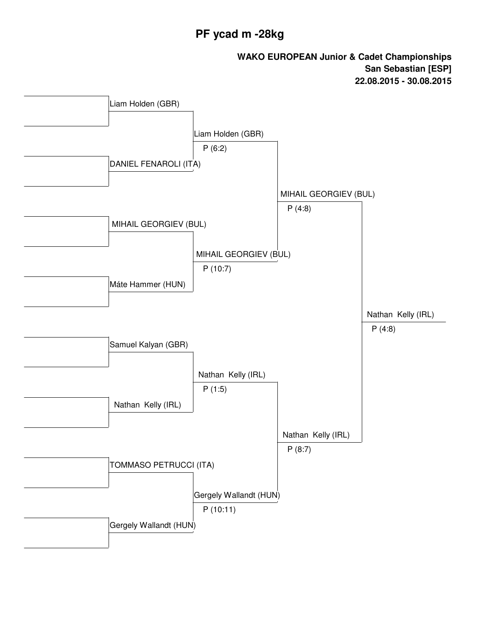## **PF ycad m -28kg**

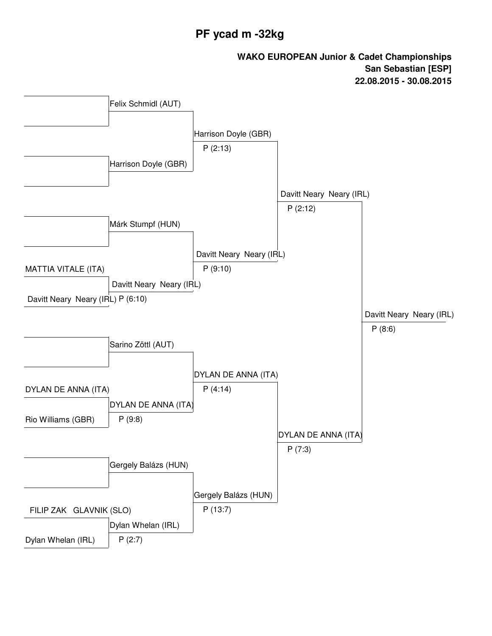# **PF ycad m -32kg**

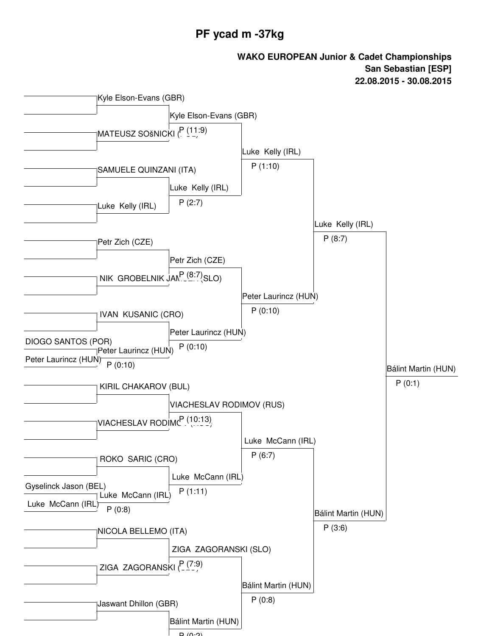#### **PF ycad m -37kg**

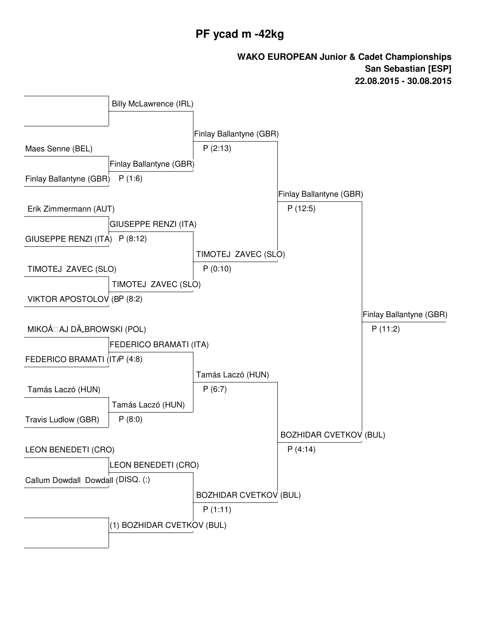# **PF ycad m -42kg**

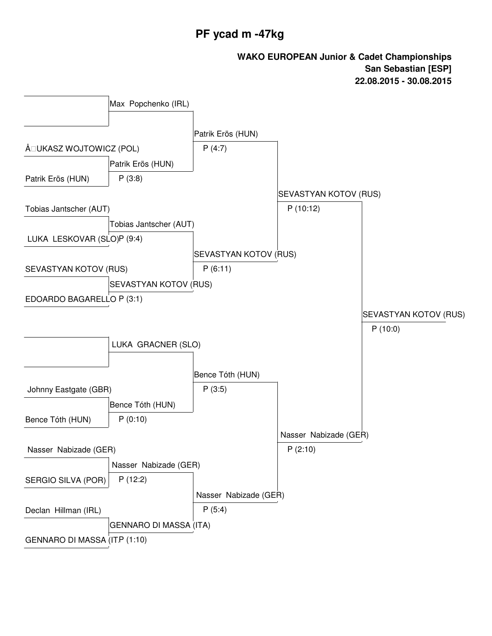# **PF ycad m -47kg**

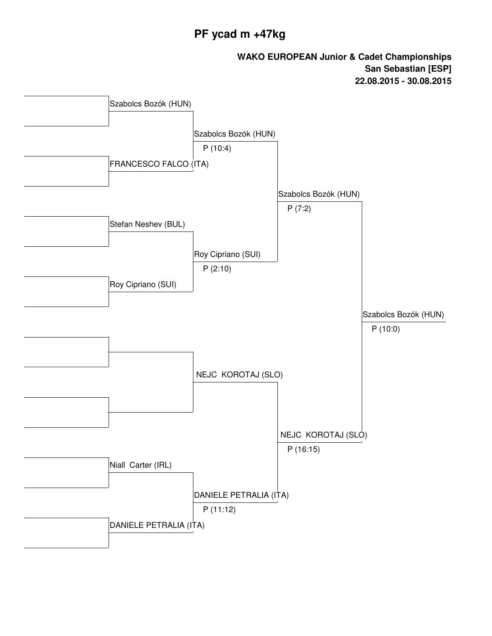# **PF ycad m +47kg**

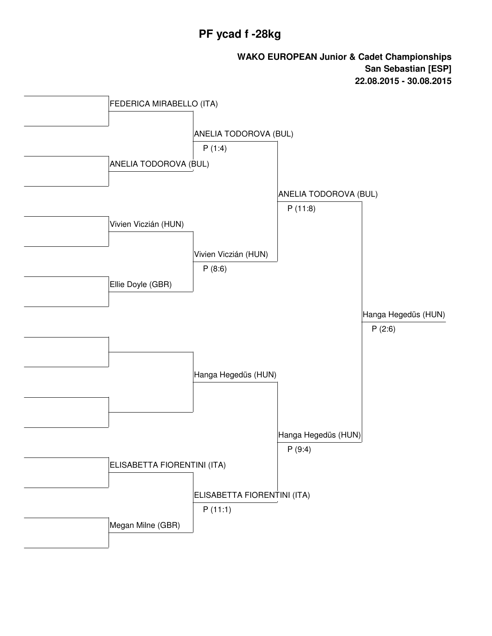## **PF ycad f -28kg**

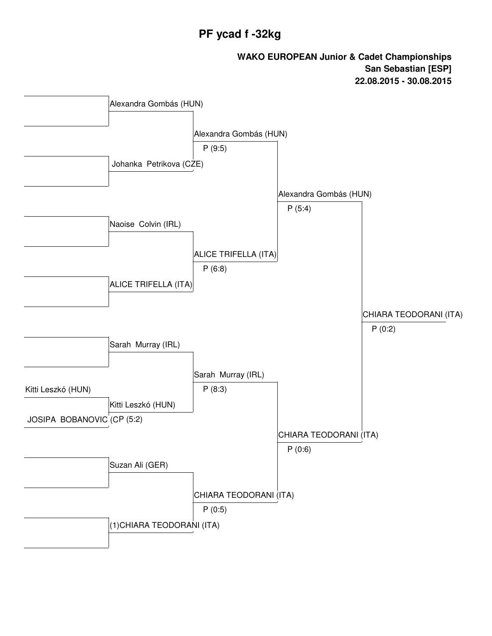# **PF ycad f -32kg**

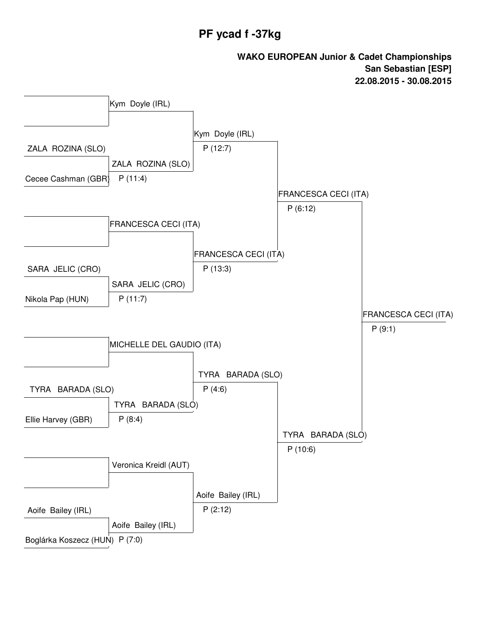### **PF ycad f -37kg**

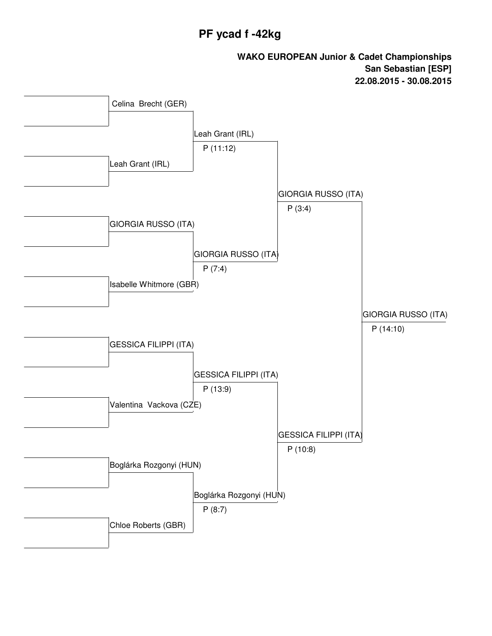## **PF ycad f -42kg**

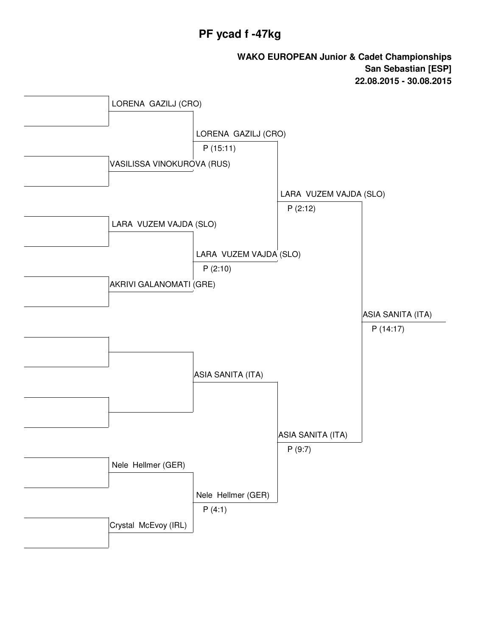### **PF ycad f -47kg**

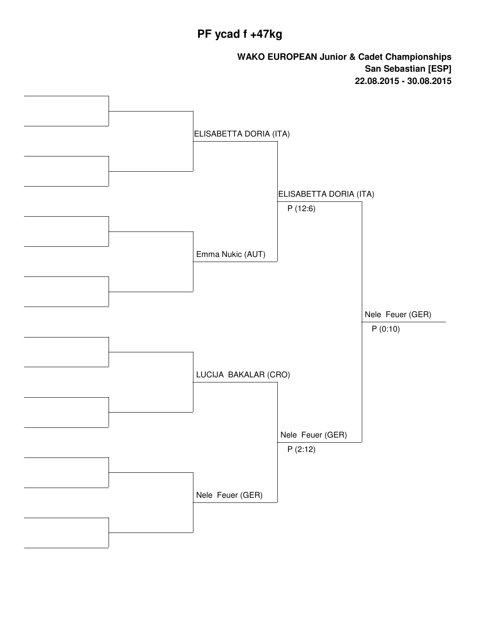# **PF ycad f +47kg**

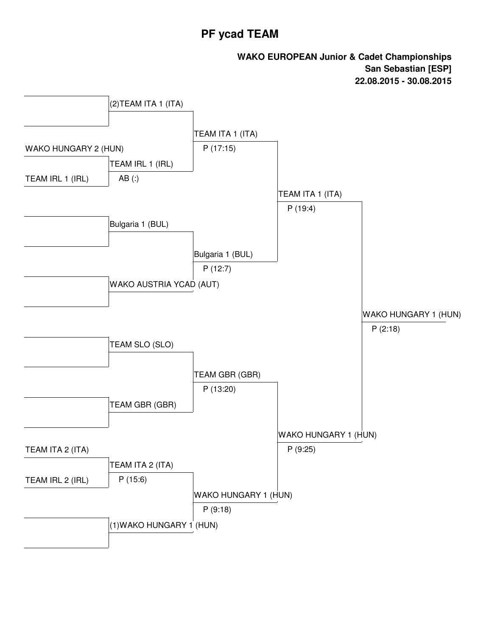#### **PF ycad TEAM**

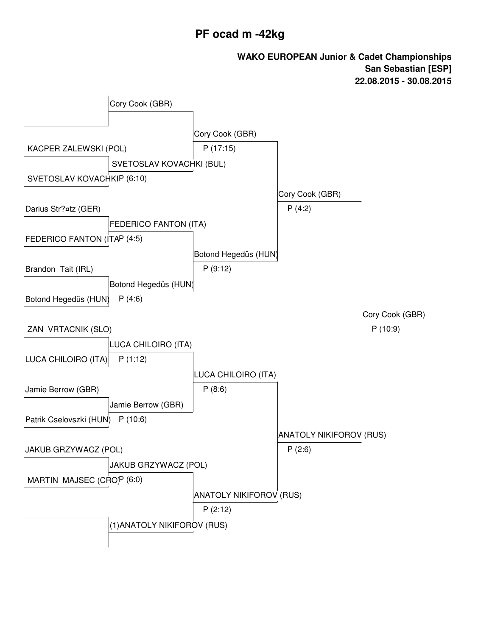### **PF ocad m -42kg**

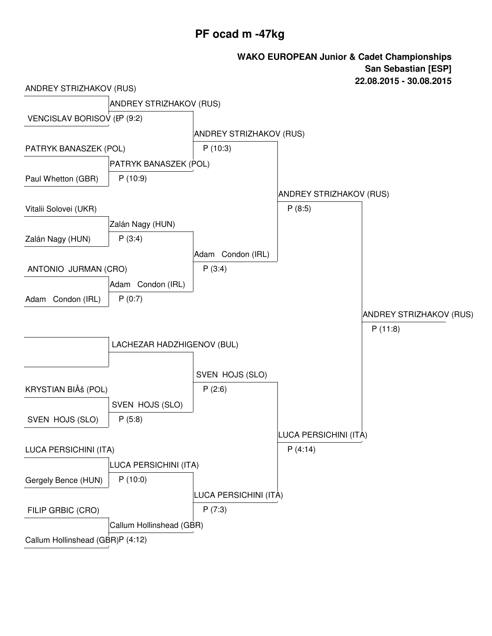### **PF ocad m -47kg**

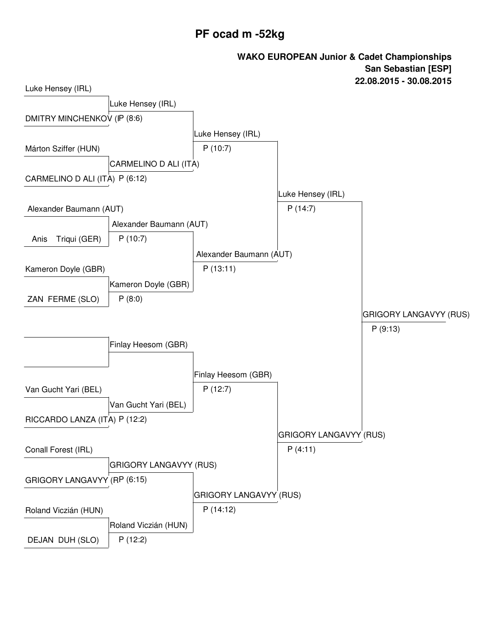# **PF ocad m -52kg**

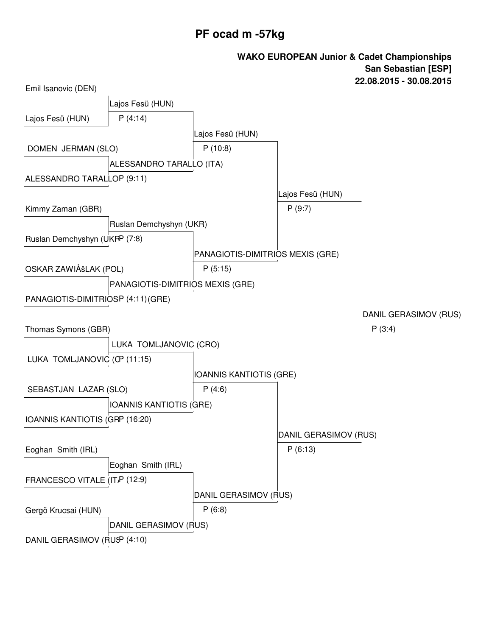# **PF ocad m -57kg**

| Emil Isanovic (DEN)                |                                  |                                  |                       |                       |
|------------------------------------|----------------------------------|----------------------------------|-----------------------|-----------------------|
|                                    | Lajos Fesü (HUN)                 |                                  |                       |                       |
| Lajos Fesü (HUN)                   | P(4:14)                          |                                  |                       |                       |
|                                    |                                  | Lajos Fesü (HUN)                 |                       |                       |
| DOMEN JERMAN (SLO)                 |                                  | P(10:8)                          |                       |                       |
|                                    | ALESSANDRO TARALLO (ITA)         |                                  |                       |                       |
| ALESSANDRO TARALLOP (9:11)         |                                  |                                  |                       |                       |
|                                    |                                  |                                  | Lajos Fesü (HUN)      |                       |
| Kimmy Zaman (GBR)                  |                                  |                                  | P(9:7)                |                       |
|                                    | Ruslan Demchyshyn (UKR)          |                                  |                       |                       |
| Ruslan Demchyshyn (UKFP (7:8)      |                                  |                                  |                       |                       |
|                                    |                                  | PANAGIOTIS-DIMITRIOS MEXIS (GRE) |                       |                       |
| OSKAR ZAWIÅŠLAK (POL)              |                                  | P(5:15)                          |                       |                       |
|                                    | PANAGIOTIS-DIMITRIOS MEXIS (GRE) |                                  |                       |                       |
| PANAGIOTIS-DIMITRIOSP (4:11) (GRE) |                                  |                                  |                       |                       |
|                                    |                                  |                                  |                       | DANIL GERASIMOV (RUS) |
| Thomas Symons (GBR)                |                                  |                                  |                       | P(3:4)                |
|                                    | LUKA TOMLJANOVIC (CRO)           |                                  |                       |                       |
| LUKA TOMLJANOVIC (CP (11:15)       |                                  |                                  |                       |                       |
|                                    |                                  | IOANNIS KANTIOTIS (GRE)          |                       |                       |
| SEBASTJAN LAZAR (SLO)              |                                  | P(4:6)                           |                       |                       |
|                                    | <b>IOANNIS KANTIOTIS (GRE)</b>   |                                  |                       |                       |
| IOANNIS KANTIOTIS (GRP (16:20)     |                                  |                                  |                       |                       |
|                                    |                                  |                                  | DANIL GERASIMOV (RUS) |                       |
| Eoghan Smith (IRL)                 |                                  |                                  | P(6:13)               |                       |
|                                    | Eoghan Smith (IRL)               |                                  |                       |                       |
| FRANCESCO VITALE (IT.P (12:9)      |                                  |                                  |                       |                       |
|                                    |                                  | DANIL GERASIMOV (RUS)            |                       |                       |
| Gergö Krucsai (HUN)                |                                  | P(6:8)                           |                       |                       |
|                                    | DANIL GERASIMOV (RUS)            |                                  |                       |                       |
| DANIL GERASIMOV (RUSP (4:10)       |                                  |                                  |                       |                       |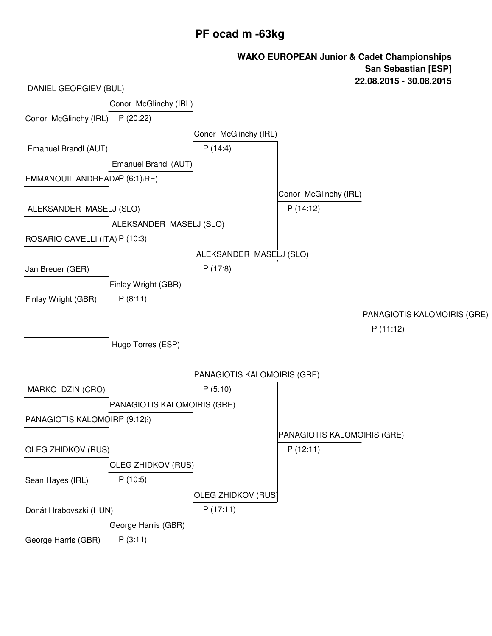# **PF ocad m -63kg**

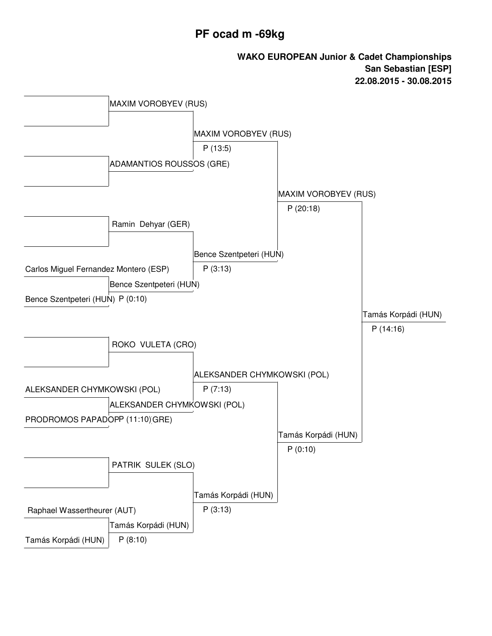# **PF ocad m -69kg**

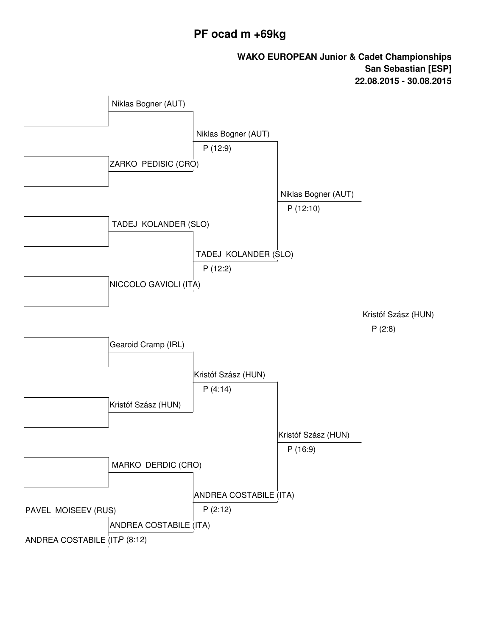### **PF ocad m +69kg**

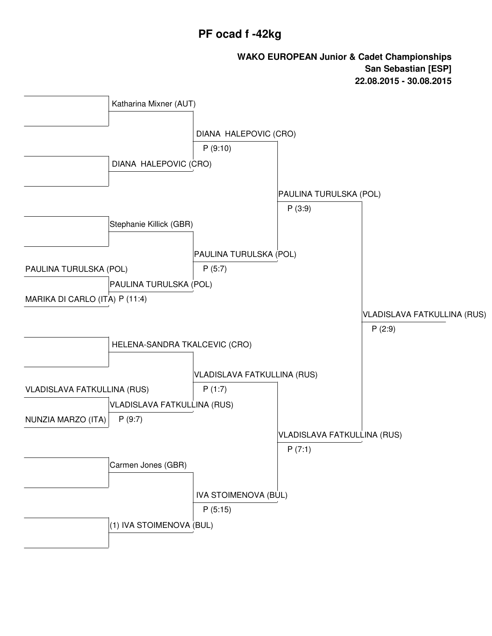### **PF ocad f -42kg**

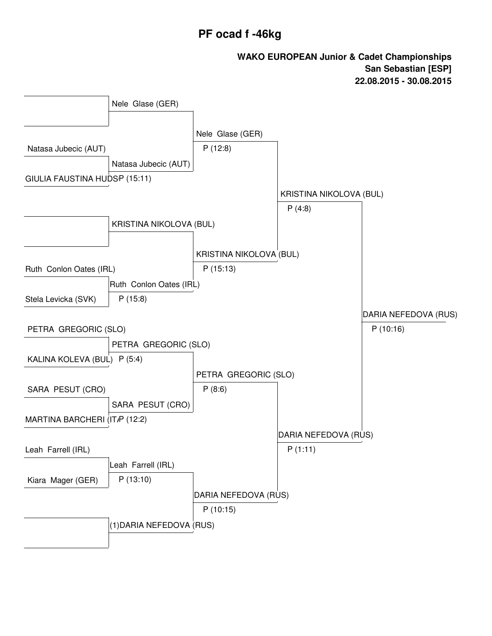## **PF ocad f -46kg**

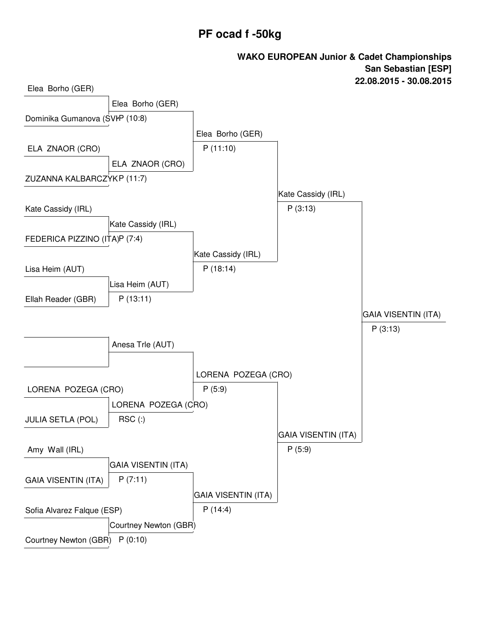### **PF ocad f -50kg**

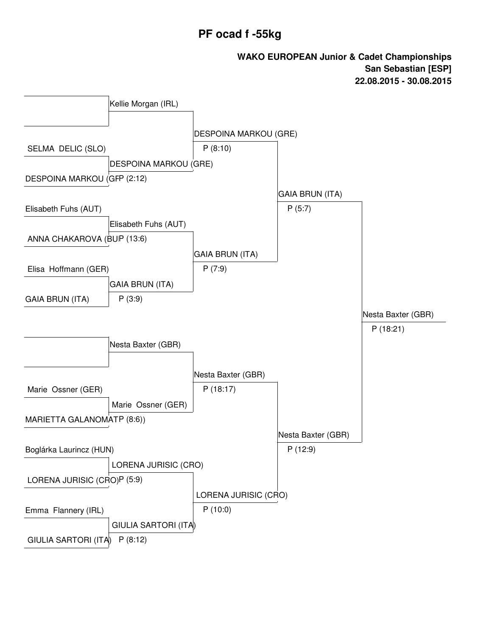### **PF ocad f -55kg**

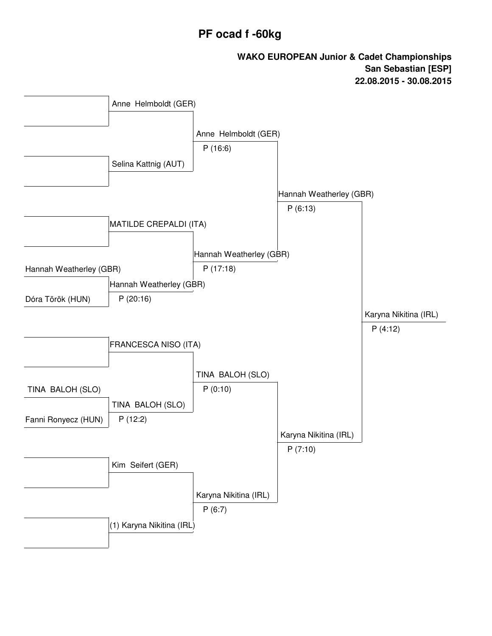# **PF ocad f -60kg**

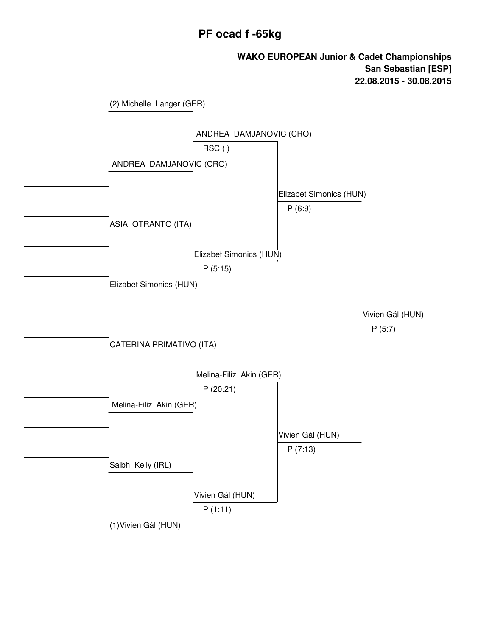# **PF ocad f -65kg**

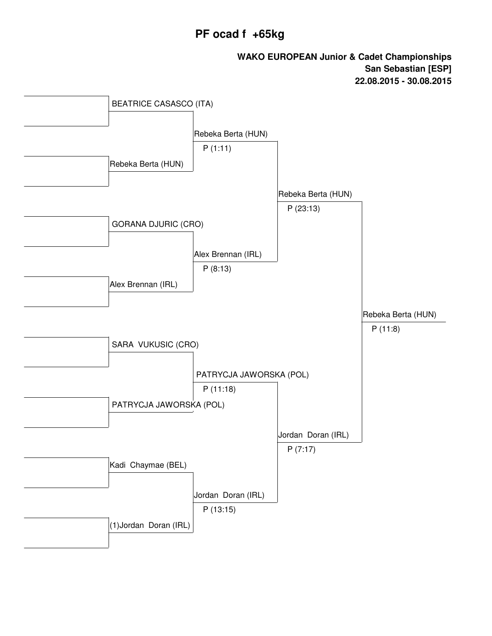### **PF ocad f +65kg**

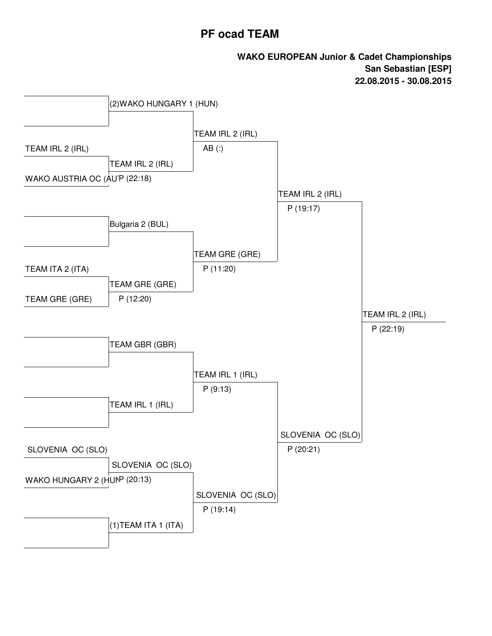#### **PF ocad TEAM**

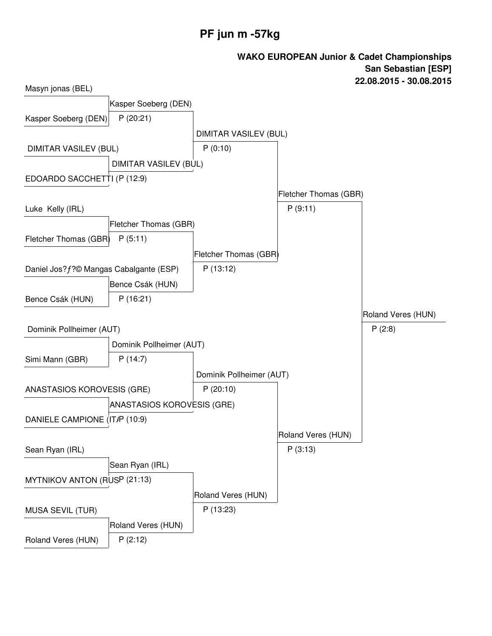# **PF jun m -57kg**

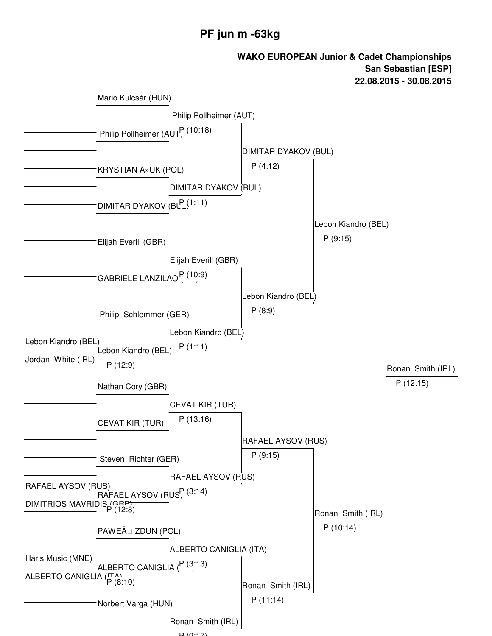#### **PF jun m -63kg**

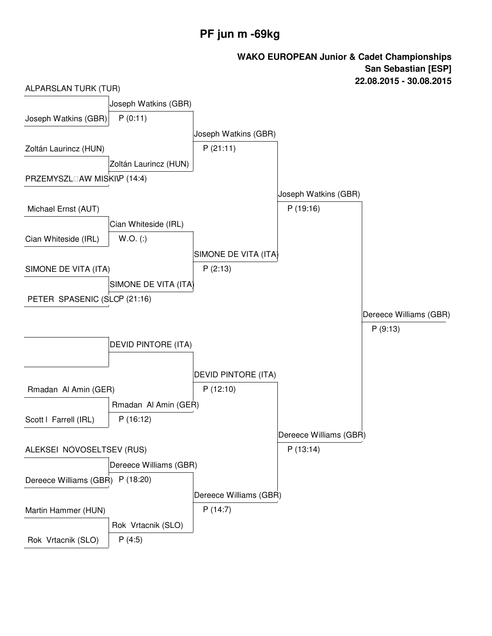# **PF jun m -69kg**

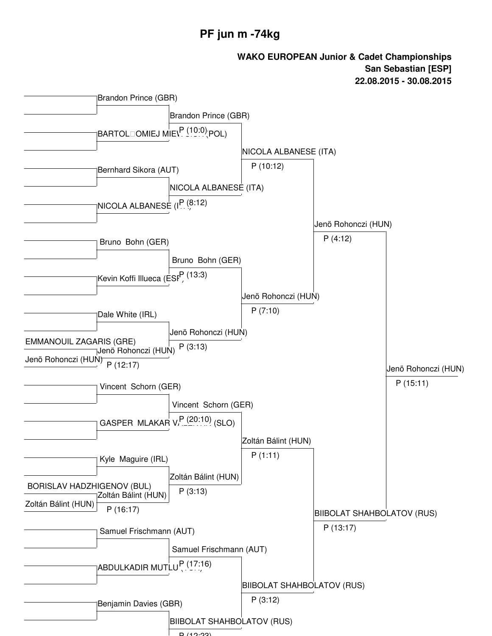#### **PF jun m -74kg**

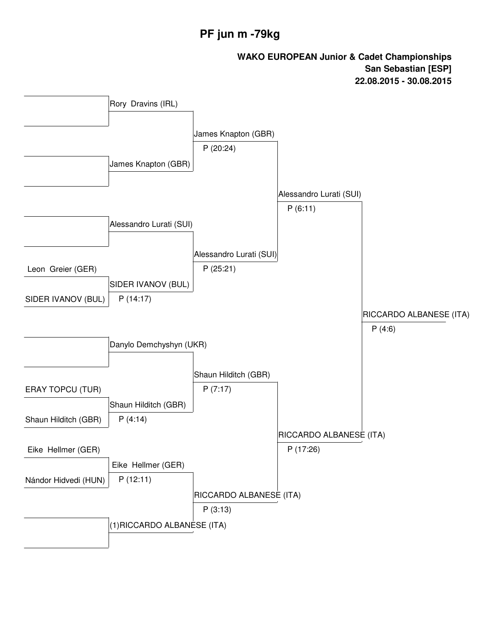# **PF jun m -79kg**

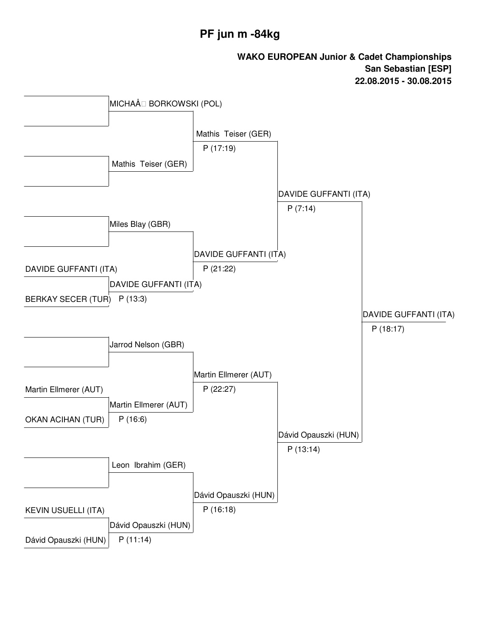# **PF jun m -84kg**

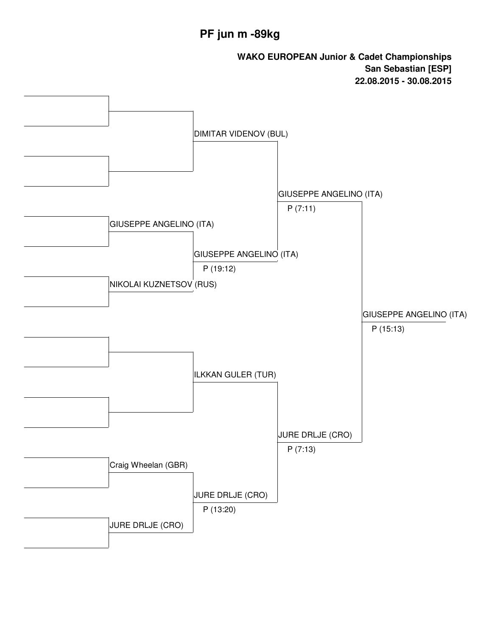# **PF jun m -89kg**

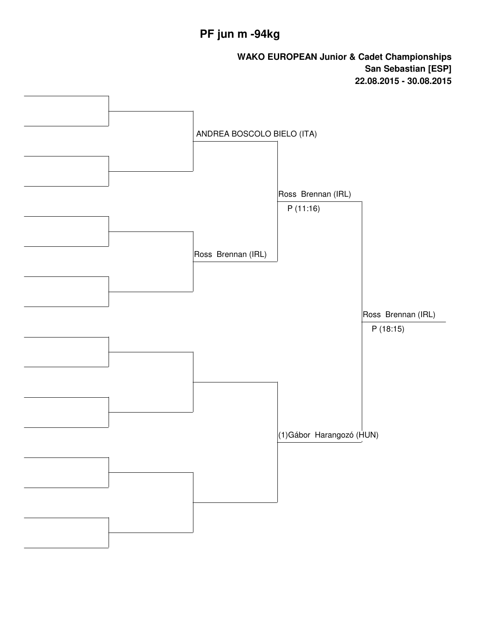# **PF jun m -94kg**

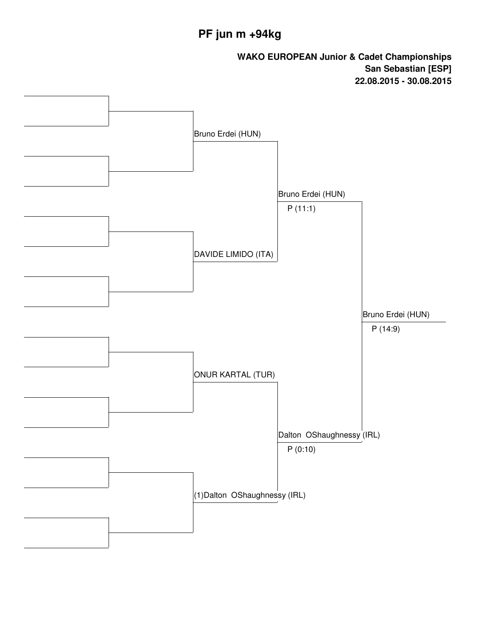# **PF jun m +94kg**

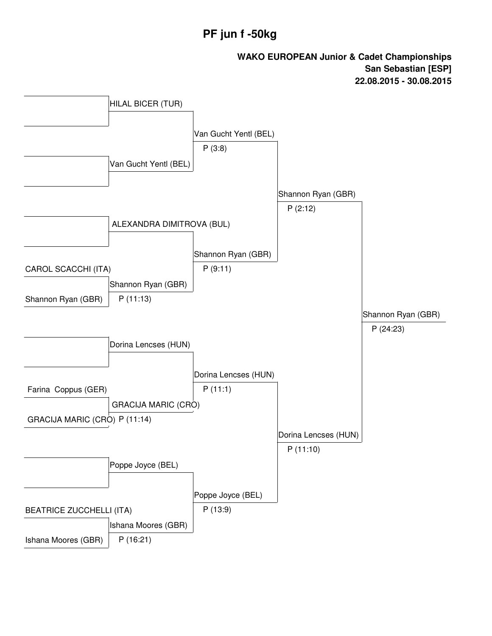# **PF jun f -50kg**

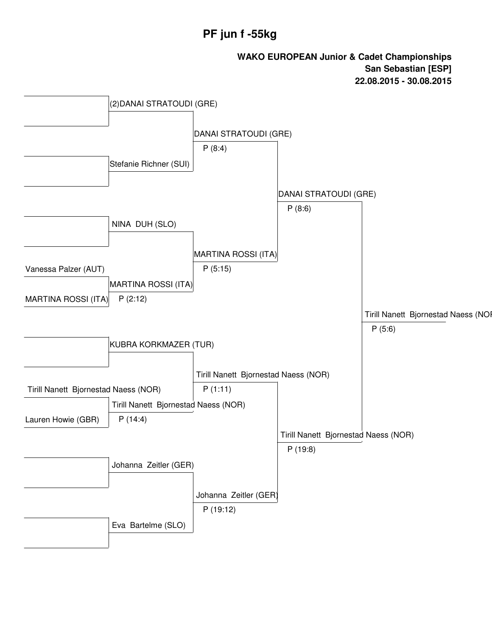# **PF jun f -55kg**

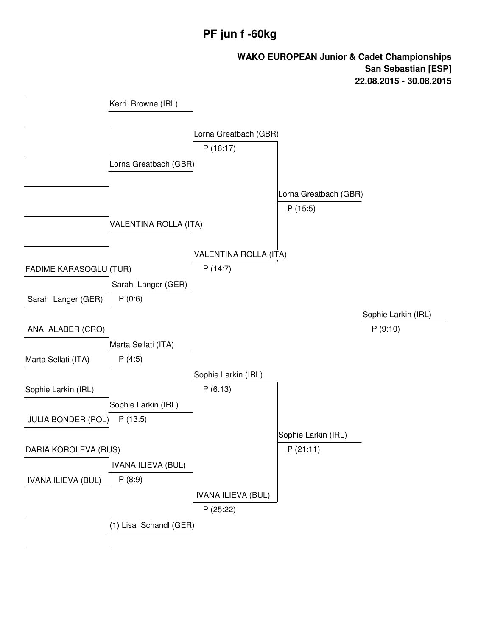# **PF jun f -60kg**

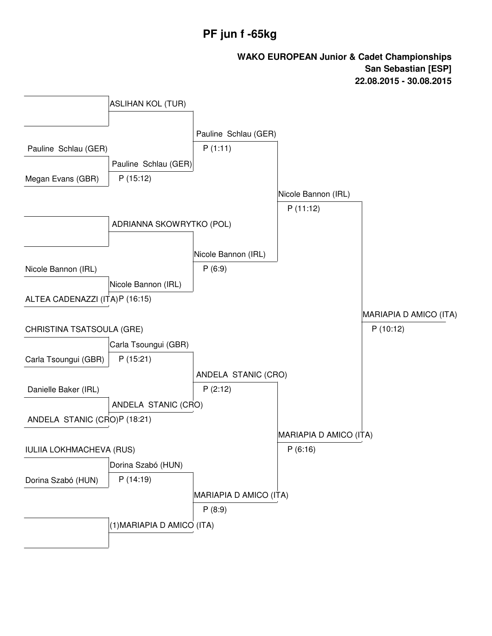# **PF jun f -65kg**

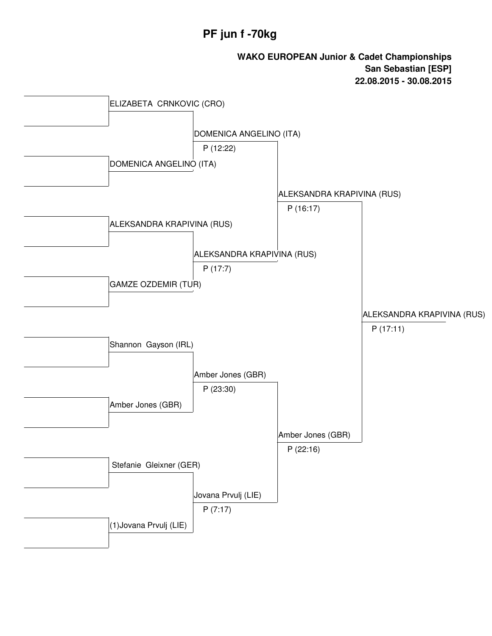# **PF jun f -70kg**

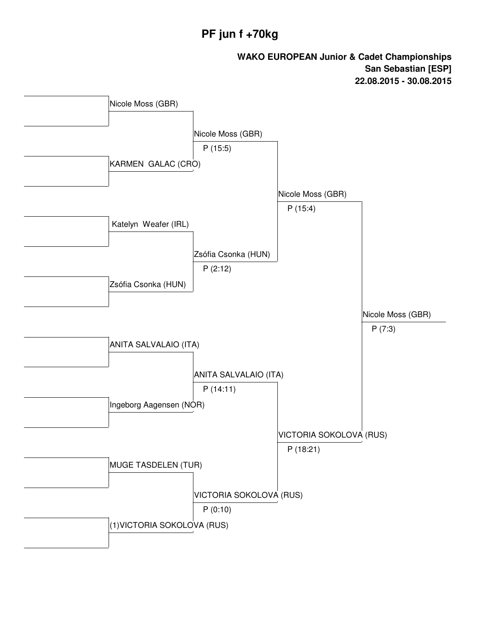## **PF jun f +70kg**